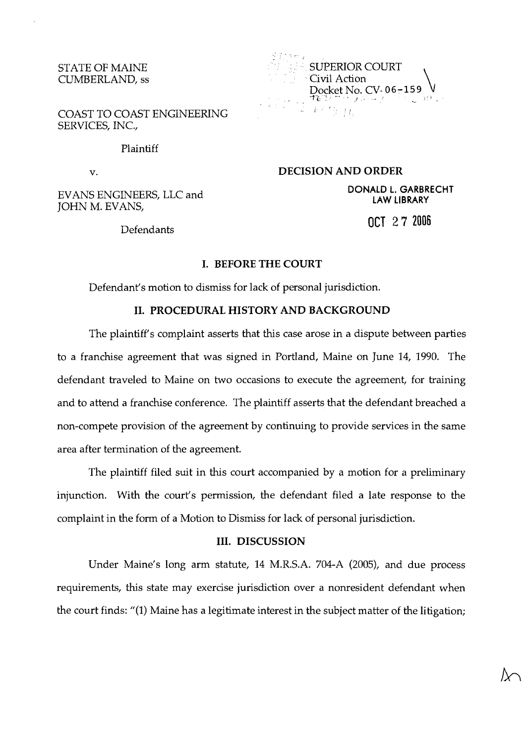## STATE OF MAINE CUMBERLAND, ss

COAST TO COAST ENGINEERING SERVICES, INC.,

### Plaintiff

v.

EVANS ENGINEERS, LLC and JOHN M. EVANS,

Defendants

 $2.7 + 4.4$ . .  $\mathcal{I}_{\mathrm{c},\mathrm{r}}$ SUPERIOR COURT . . Civil Action Docket No. CV-06-159  $k^{\frac{1}{2}+\frac{1}{2}}$  .  $\prod_{\lambda}$ 

**DECISION AND ORDER** 

**DONALD L. GARBRECHT LAW LIBRARY** 

OCT 2 **7 <sup>2006</sup>**

## **I. BEFORE THE COURT**

Defendant's motion to dismiss for lack of personal jurisdiction.

# **11. PROCEDURAL HISTORY AND BACKGROUND**

The plaintiff's complaint asserts that this case arose in a dispute between parties to a franchise agreement that was signed in Portland, Maine on June 14, 1990. The defendant traveled to Maine on two occasions to execute the agreement, for training and to attend a franchise conference. The plaintiff asserts that the defendant breached a non-compete provision of the agreement by continuing to provide services in the same area after termination of the agreement.

The plaintiff filed suit in this court accompanied by a motion for a preliminary injunction. With the court's permission, the defendant filed a late response to the complaint in the form of a Motion to Dismiss for lack of personal jurisdiction.

#### **111. DISCUSSION**

Under Maine's long arm statute, 14 M.R.S.A. 704-A (2005), and due process requirements, this state may exercise jurisdiction over a nonresident defendant when the court finds: "(1) Maine has a legitimate interest in the subject matter of the litigation;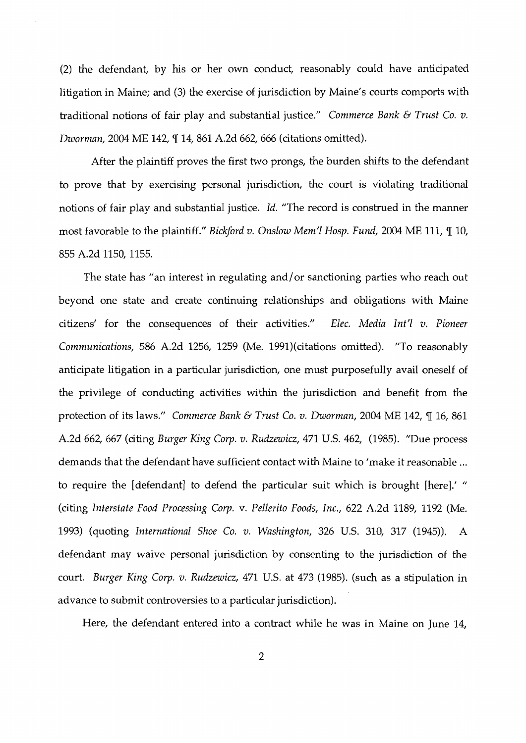(2) the defendant, by his or her own conduct, reasonably could have anticipated litigation in Maine; and (3) the exercise of jurisdiction by Maine's courts comports with traditional notions of fair play and substantial justice." Commerce Bank *6* Trust Co. v. Dworman, 2004 ME 142, ¶ 14, 861 A.2d 662, 666 (citations omitted).

After the plaintiff proves the first two prongs, the burden shifts to the defendant to prove that by exercising personal jurisdiction, the court is violating traditional notions of fair play and substantial justice. Id. "The record is construed in the manner most favorable to the plaintiff." Bickford v. Onslow Mem'l Hosp. Fund, 2004 ME 111,  $\P$  10, 855 A.2d 1150,1155.

The state has "an interest in regulating and/or sanctioning parties who reach out beyond one state and create continuing relationships and obligations with Maine citizens' for the consequences of their activities." Elec. Media lnt'l v. Pioneer Communications, 586 A.2d 1256, 1259 (Me. 1991)(citations omitted). "To reasonably anticipate litigation in a particular jurisdiction, one must purposefully avail oneself of the privilege of conducting activities within the jurisdiction and benefit from the protection of its laws." Commerce Bank **6** Trust Co. v. Dworman, 2004 ME 142, ¶ 16, 861 A.2d 662, 667 (citing Burger King Corp. v. Rudzewicz, 471 U.S. 462, (1985). "Due process demands that the defendant have sufficient contact with Maine to 'make it reasonable ... to require the [defendant] to defend the particular suit which is brought [here].' " (citing Interstate Food Processing Corp. v. Pellerito Foods, Inc., 622 A.2d 1189, 1192 (Me. 1993) (quoting International Shoe Co. v. Washington, 326 U.S. 310, 317 (1945)). A defendant may waive personal jurisdiction by consenting to the jurisdiction of the court. Burger King Corp. v. Rudzewicz, 471 U.S. at 473 (1985). (such as a stipulation in advance to submit controversies to a particular jurisdiction).

Here, the defendant entered into a contract while he was in Maine on June 14,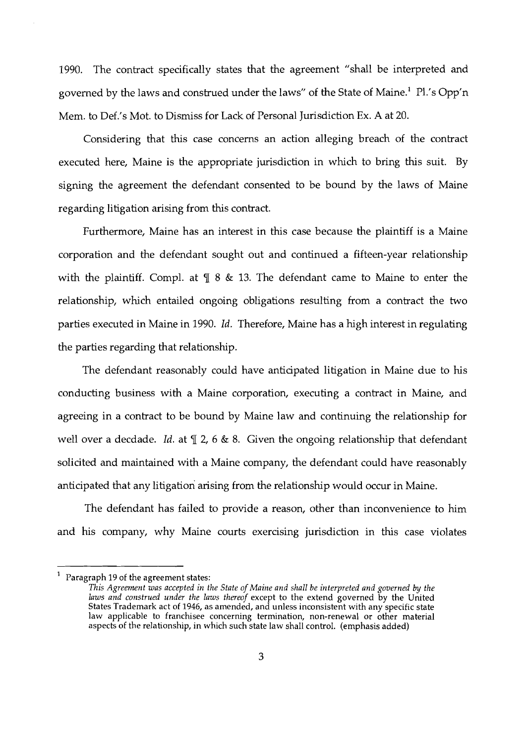1990. The contract specifically states that the agreement "shall be interpreted and governed by the laws and construed under the laws" of the State of Maine.' Pl.'s Opp'n Mem. to Def.'s Mot. to Dismiss for Lack of Personal Jurisdiction Ex. A at 20.

Considering that this case concerns an action alleging breach of the contract executed here, Maine is the appropriate jurisdiction in which to bring this suit. By signing the agreement the defendant consented to be bound by the laws of Maine regarding litigation arising from this contract.

Furthermore, Maine has an interest in this case because the plaintiff is a Maine corporation and the defendant sought out and continued a fifteen-year relationship with the plaintiff. Compl. at  $\P$  8 & 13. The defendant came to Maine to enter the relationship, which entailed ongoing obligations resulting from a contract the two parties executed in Maine in 1990. Id. Therefore, Maine has a high interest in regulating the parties regarding that relationship.

The defendant reasonably could have anticipated litigation in Maine due to his conducting business with a Maine corporation, executing a contract in Maine, and agreeing in a contract to be bound by Maine law and continuing the relationship for well over a decdade. Id. at  $\mathbb{T}$  2, 6 & 8. Given the ongoing relationship that defendant solicited and maintained with a Maine company, the defendant could have reasonably anticipated that any litigation arising from the relationship would occur in Maine.

The defendant has failed to provide a reason, other than inconvenience to him and his company, why Maine courts exercising jurisdiction in this case violates

<sup>1</sup>Paragraph 19 of the agreement states:

*This Agreement was accepted in the State of Maine and shall be interpreted and governed by the*  laws and construed under the laws thereof except to the extend governed by the United States Trademark act of 1946, as amended, and unless inconsistent with any specific state law applicable to franchisee concerning termination, non-renewal or other material aspects of the relationship, in which such state law shall control. (emphasis added)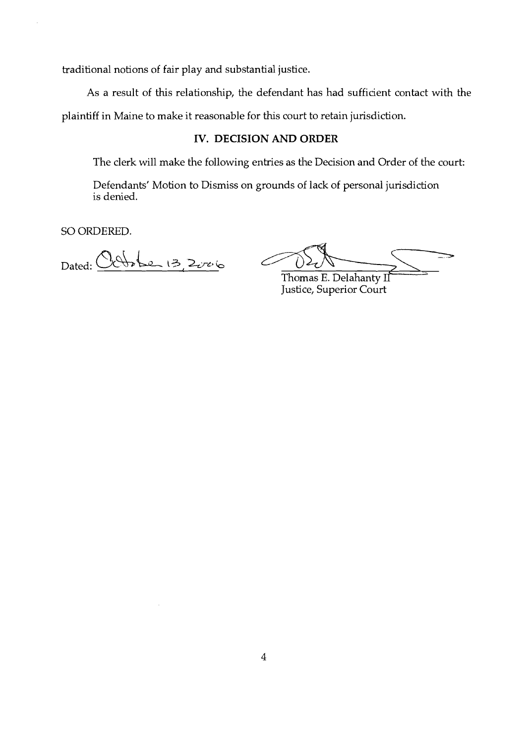traditional notions of fair play and substantial justice.

As a result of this relationship, the defendant has had sufficient contact with the plaintiff in Maine to make it reasonable for this court to retain jurisdiction.

# **IV. DECISION AND ORDER**

The clerk will make the following entries as the Decision and Order of the court:

Defendants' Motion to Dismiss on grounds of lack of personal jurisdiction is denied.

SO ORDERED.

Dated: Certote 13, 2006

Thomas E. Delahanty II Justice, Superior court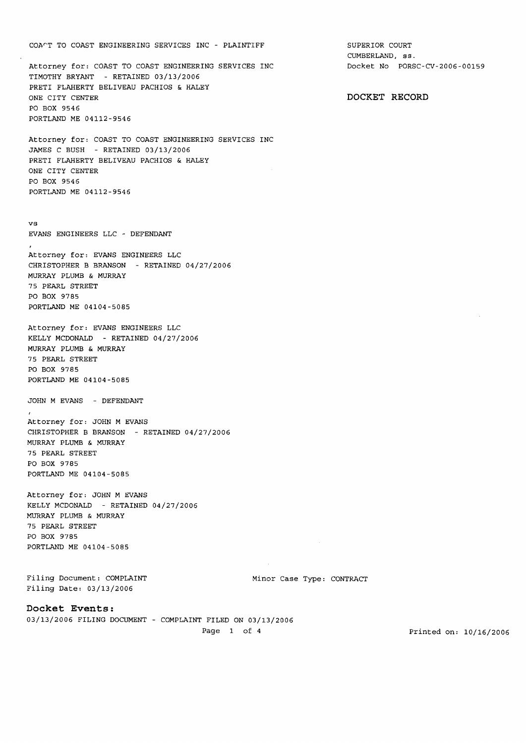#### COATT TO COAST ENGINEERING SERVICES INC - PLAINTIFF

Attorney for: COAST TO COAST ENGINEERING SERVICES INC TIMOTHY BRYANT - RETAINED 03/13/2006 PRETI FLAHERTY BELIVEAU PACHIOS & HALEY ONE CITY CENTER PO BOX 9546 PORTLAND ME 04112-9546

Attorney for: COAST TO COAST ENGINEERING SERVICES INC JAMES C BUSH - RETAINED 03/13/2006 PRETI FLAHERTY BELIVEAU PACHIOS & HALEY ONE CITY CENTER PO BOX 9546 PORTLAND ME 04112-9546

vs EVANS ENGINEERS LLC - DEFENDANT

Attorney for: EVANS ENGINEERS LLC CHRISTOPHER B BRANSON - RETAINED 04/27/2006 MURRAY PLUMB & MURRAY 75 PEARL STREET PO BOX 9785 PORTLAND ME 04104-5085

Attorney for: EVANS ENGINEERS LLC KELLY MCDONALD - RETAINED 04/27/2006 MURRAY PLUMB & MURRAY 75 PEARL STREET PO BOX 9785 PORTLAND ME 04104-5085

JOHN M EVANS - DEFENDANT

Attorney for: JOHN M EVANS CHRISTOPHER B BRANSON - RETAINED 04/27/2006 MURRAY PLUMB & MURRAY 75 PEARL STREET PO BOX 9785 PORTLAND ME 04104-5085

Attorney for: JOHN M EVANS KELLY MCDONALD - RETAINED 04/27/2006 MURRAY PLUMB & MURRAY 75 PEARL STREET PO BOX 9785 PORTLAND ME 04104-5085

Filing Document: COMPLAINT Filing Date: 03/13/2006

Minor Case Type: CONTRACT

 $\sim$   $\omega$ 

Docket **Events:** 

03/13/2006 FILING DOCUMENT - COMPLAINT FILED ON 03/13/2006

SUPERIOR COURT CUMBERLAND, ss. Docket No PORSC-CV-2006-00159

DOCKET RECORD

Page 1 of 4 Printed on:  $10/16/2006$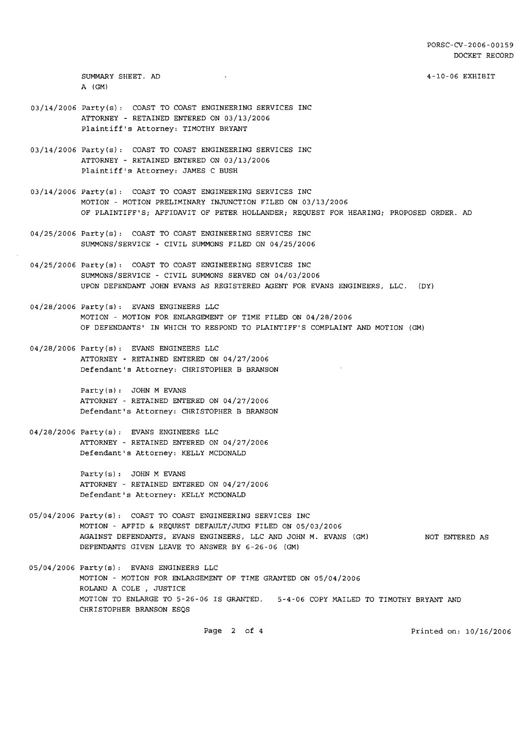4-10-06 EXHIBIT

SUMMARY SHEET. AD A (GM)

- 03/14/2006 Party(s): COAST TO COAST ENGINEERING SERVICES INC ATTORNEY - RETAINED ENTERED ON 03/13/2006 Plaintiff's Attorney: TIMOTHY BRYANT
- 03/14/2006 Party(s) : COAST TO COAST ENGINEERING SERVICES INC ATTORNEY - RETAINED ENTERED ON 03/13/2006 Plaintiff's Attorney: JAMES C BUSH
- 03/14/2006 Party(s): COAST TO COAST ENGINEERING SERVICES INC MOTION - MOTION PRELIMINARY INJUNCTION FILED ON 03/13/2006 OF PLAINTIFF'S; AFFIDAVIT OF PETER HOLLANDER; REQUEST FOR HEARING; PROPOSED ORDER. AD
- 04/25/2006 Party(s) : COAST TO COAST ENGINEERING SERVICES INC SUMMONS/SERVICE - CIVIL SUMMONS FILED ON 04/25/2006
- 04/25/2006 Party(s) : COAST TO COAST ENGINEERING SERVICES INC SUMMONS/SERVICE - CIVIL SUMMONS SERVED ON 04/03/2006 UPON DEFENDANT JOHN EVANS AS REGISTERED AGENT FOR EVANS ENGINEERS, LLC. (DY)
- 04/28/2006 Party (s) : EVANS ENGINEERS LLC MOTION - MOTION FOR ENLARGEMENT OF TIME FILED ON 04/28/2006 OF DEFENDANTS' IN WHICH TO RESPOND TO PLAINTIFF'S COMPLAINT AND MOTION (GM)
- 04/28/2006 Party(s) : EVANS ENGINEERS LLC ATTORNEY - RETAINED ENTERED ON 04/27/2006 Defendant's Attorney: CHRISTOPHER B BRANSON

Party(s): JOHN M EVANS ATTORNEY - RETAINED ENTERED ON 04/27/2006 Defendant's Attorney: CHRISTOPHER B BRANSON

04/28/2006 Party (s) : EVANS ENGINEERS LLC ATTORNEY - RETAINED ENTERED ON 04/27/2006 Defendant's Attorney: KELLY MCDONALD

> Party (s) : JOHN M EVANS ATTORNEY - RETAINED ENTERED ON 04/27/2006 Defendant's Attorney: KELLY MCDONALD

05/04/2006 Party(s) : COAST TO COAST ENGINEERING SERVICES INC MOTION - AFFID & REQUEST DEFAULT/JUDG FILED ON 05/03/2006 AGAINST DEFENDANTS, EVANS ENGINEERS, LLC AND JOHN M. EVANS (GM) DEFENDANTS GIVEN LEAVE TO ANSWER BY 6-26-06 (GM) NOT ENTERED AS

 $\sim$ 

05/04/2006 Party (s) : EVANS ENGINEERS LLC MOTION - MOTION FOR ENLARGEMENT OF TIME GRANTED ON 05/04/2006 ROLAND A COLE , JUSTICE MOTION TO ENLARGE TO 5-26-06 IS GRANTED. 5-4-06 COPY MAILED TO TIMOTHY BRYANT AND CHRISTOPHER BRANSON ESQS

Page 2 of 4 **Printed on: 10/16/2006**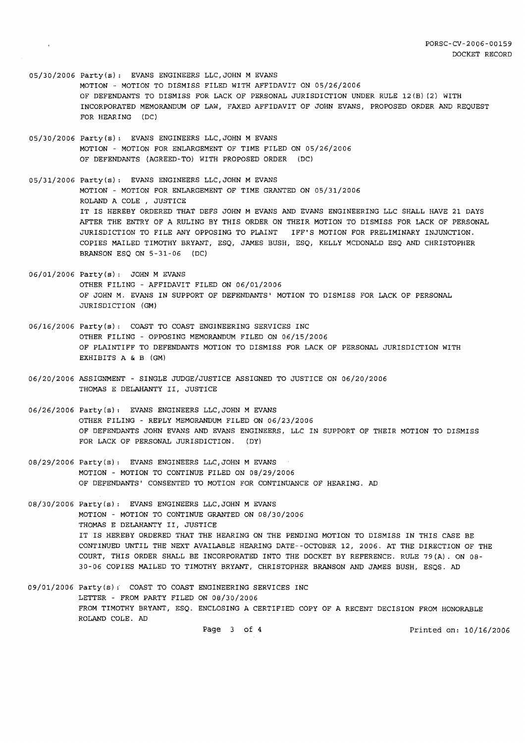- 05/30/2006 Party(s) : EVANS ENGINEERS LLC,JOHN M EVANS MOTION - MOTION TO DISMISS FILED WITH AFFIDAVIT ON 05/26/2006 OF DEFENDANTS TO DISMISS FOR LACK OF PERSONAL JURISDICTION UNDER RULE 12(B) (2) WITH INCORPORATED MEMORANDUM OF LAW, FAXED AFFIDAVIT OF JOHN EVANS, PROPOSED ORDER AND REQUEST FOR HEARING (DC)
- 05/30/2006 Party(s) : EVANS ENGINEERS LLC,JOHN M EVANS MOTION - MOTION FOR ENLARGEMENT OF TIME FILED ON 05/26/2006 OF DEFENDANTS (AGREED-TO) WITH PROPOSED ORDER (DC)
- 05/31/2006 Party **(s)** : EVANS ENGINEERS LLC, JOHN M EVANS MOTION - MOTION FOR ENLARGEMENT OF TIME GRANTED ON 05/31/2006 ROLAND A COLE , JUSTICE IT IS HEREBY ORDERED THAT DEFS JOHN M EVANS AND EVANS ENGINEERING LLC SHALL HAVE 21 DAYS AFTER THE ENTRY OF A RULING BY THIS ORDER ON THEIR MOTION TO DISMISS FOR LACK OF PERSONAL JURISDICTION TO FILE ANY OPPOSING TO PLAINT IFF'S MOTION FOR PRELIMINARY INJUNCTION. COPIES MAILED TIMOTHY BRYANT, ESQ, JAMES BUSH, ESQ, KELLY MCDONALD ESQ AND CHRISTOPHER BRANSON ESQ ON 5-31-06 (DC)
- 06/01/2006 Party(s) : JOHN M EVANS OTHER FILING - AFFIDAVIT FILED ON 06/01/2006 OF JOHN M. EVANS IN SUPPORT OF DEFENDANTS' MOTION TO DISMISS FOR LACK OF PERSONAL JURISDICTION (GM)
- 06/16/2006 Party(s): COAST TO COAST ENGINEERING SERVICES INC OTHER FILING - OPPOSING MEMORANDUM FILED ON 06/15/2006 OF PLAINTIFF TO DEFENDANTS MOTION TO DISMISS FOR LACK OF PERSONAL JURISDICTION WITH EXHIBITS A & B (GM)
- 06/20/2006 ASSIGNMENT SINGLE JUDGE/JUSTICE ASSIGNED TO JUSTICE ON 06/20/2006 THOMAS E DELAHANTY 11, JUSTICE
- 06/26/2006 Party(s): EVANS ENGINEERS LLC,JOHN M EVANS OTHER FILING - REPLY MEMORANDUM FILED ON 06/23/2006 OF DEFENDANTS JOHN EVANS AND EVANS ENGINEERS, LLC IN SUPPORT OF THEIR MOTION TO DISMISS FOR LACK OF PERSONAL JURISDICTION. (DY)
- 08/29/2006 Party(s): EVANS ENGINEERS LLC, JOHN M EVANS MOTION - MOTION TO CONTINUE FILED ON 08/29/2006 OF DEFENDANTS' CONSENTED TO MOTION FOR CONTINUANCE OF HEARING. AD
- 08/30/2006 Party(s) : EVANS ENGINEERS LLC,JOHN M EVANS MOTION - MOTION TO CONTINUE GRANTED ON 08/30/2006 THOMAS E DELAHANTY 11, JUSTICE IT IS HEREBY ORDERED THAT THE HEARING ON THE PENDING MOTION TO DISMISS IN THIS CASE BE CONTINUED UNTIL THE NEXT AVAILABLE HEARING DATE--OCTOBER 12, 2006. AT THE DIRECTION OF THE COURT, THIS ORDER SHALL BE INCORPORATED INTO THE DOCKET BY REFERENCE. RULE 79(A). ON 08- 30-06 COPIES MAILED TO TIMOTHY BRYANT, CHRISTOPHER BRANSON AND JAMES BUSH, ESQS. AD
- 09/01/2006 Party(s): COAST TO COAST ENGINEERING SERVICES INC LETTER - FROM PARTY FILED ON 08/30/2006 FROM TIMOTHY BRYANT, ESQ. ENCLOSING A CERTIFIED COPY OF A RECENT DECISION FROM HONORABLE ROLAND COLE. AD Page 3 of 4 Printed on:  $10/16/2006$